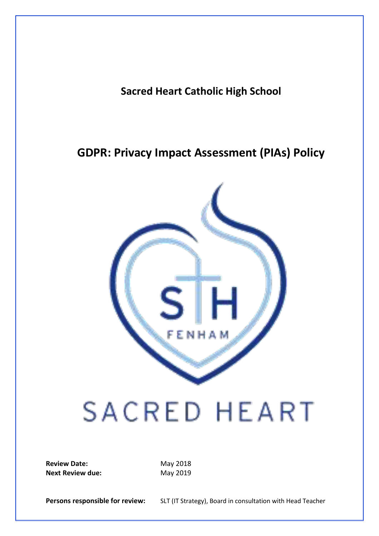**Sacred Heart Catholic High School**

# **GDPR: Privacy Impact Assessment (PIAs) Policy**



# SACRED HEART

**Review Date:** May 2018 **Next Review due:** May 2019

Persons responsible for review: SLT (IT Strategy), Board in consultation with Head Teacher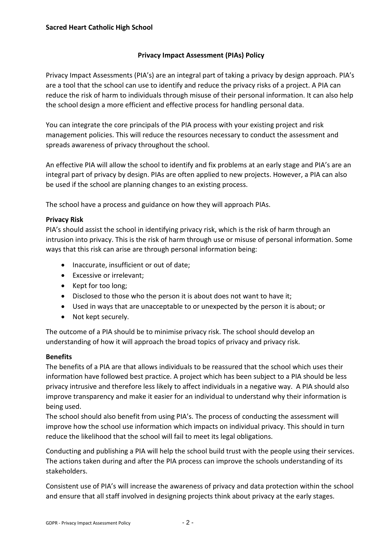# **Privacy Impact Assessment (PIAs) Policy**

Privacy Impact Assessments (PIA's) are an integral part of taking a privacy by design approach. PIA's are a tool that the school can use to identify and reduce the privacy risks of a project. A PIA can reduce the risk of harm to individuals through misuse of their personal information. It can also help the school design a more efficient and effective process for handling personal data.

You can integrate the core principals of the PIA process with your existing project and risk management policies. This will reduce the resources necessary to conduct the assessment and spreads awareness of privacy throughout the school.

An effective PIA will allow the school to identify and fix problems at an early stage and PIA's are an integral part of privacy by design. PIAs are often applied to new projects. However, a PIA can also be used if the school are planning changes to an existing process.

The school have a process and guidance on how they will approach PIAs.

## **Privacy Risk**

PIA's should assist the school in identifying privacy risk, which is the risk of harm through an intrusion into privacy. This is the risk of harm through use or misuse of personal information. Some ways that this risk can arise are through personal information being:

- Inaccurate, insufficient or out of date;
- Excessive or irrelevant;
- Kept for too long;
- Disclosed to those who the person it is about does not want to have it;
- Used in ways that are unacceptable to or unexpected by the person it is about; or
- Not kept securely.

The outcome of a PIA should be to minimise privacy risk. The school should develop an understanding of how it will approach the broad topics of privacy and privacy risk.

## **Benefits**

The benefits of a PIA are that allows individuals to be reassured that the school which uses their information have followed best practice. A project which has been subject to a PIA should be less privacy intrusive and therefore less likely to affect individuals in a negative way. A PIA should also improve transparency and make it easier for an individual to understand why their information is being used.

The school should also benefit from using PIA's. The process of conducting the assessment will improve how the school use information which impacts on individual privacy. This should in turn reduce the likelihood that the school will fail to meet its legal obligations.

Conducting and publishing a PIA will help the school build trust with the people using their services. The actions taken during and after the PIA process can improve the schools understanding of its stakeholders.

Consistent use of PIA's will increase the awareness of privacy and data protection within the school and ensure that all staff involved in designing projects think about privacy at the early stages.